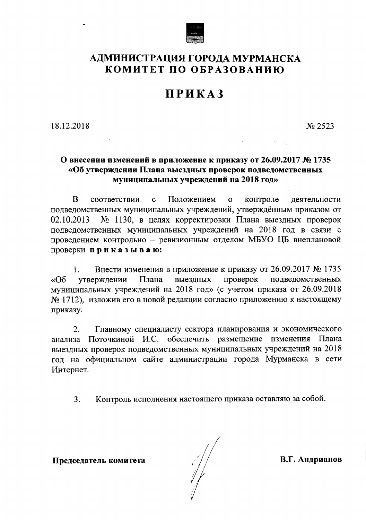

## АДМИНИСТРАЦИЯ ГОРОДА МУРМАНСКА КОМИТЕТ ПО ОБРАЗОВАНИЮ

## **ПРИКАЗ**

18.12.2018

No 2523

## О внесении изменений в приложение к приказу от 26.09.2017 № 1735 «Об утверждении Плана выездных проверок подведомственных муниципальных учреждений на 2018 год»

 $\overline{B}$ соответствии  $\mathbf{c}$ Положением контроле  $\mathbf{o}$ деятельности подведомственных муниципальных учреждений, утверждённым приказом от № 1130, в целях корректировки Плана выездных проверок 02.10.2013 подведомственных муниципальных учреждений на 2018 год в связи с проведением контрольно - ревизионным отделом МБУО ЦБ внеплановой проверки приказываю:

1. Внести изменения в приложение к приказу от 26.09.2017 № 1735 проверок подведомственных утверждении Плана выездных  $\langle \langle$ Oб муниципальных учреждений на 2018 год» (с учетом приказа от 26.09.2018 № 1712), изложив его в новой редакции согласно приложению к настоящему приказу.

Главному специалисту сектора планирования и экономического  $2.$ анализа Поточкиной И.С. обеспечить размещение изменения Плана выездных проверок подведомственных муниципальных учреждений на 2018 год на официальном сайте администрации города Мурманска в сети Интернет.

Контроль исполнения настоящего приказа оставляю за собой.  $3.$ 

В.Г. Андрианов

Председатель комитета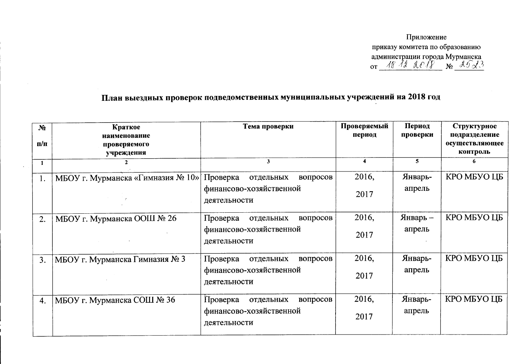| Приложение                      |  |                                 |  |  |
|---------------------------------|--|---------------------------------|--|--|
| приказу комитета по образованию |  |                                 |  |  |
|                                 |  | администрации города Мурманска  |  |  |
| $\overline{O}T$                 |  | $AB$ $AB$ $AC$ $B$ $N_0$ $A5A3$ |  |  |

## План выездных проверок подведомственных муниципальных учреждений на 2018 год

| $N_2$     | Краткое<br>наименование           | Тема проверки                           | Проверяемый<br>период | Период<br>проверки | Структурное<br>подразделение |
|-----------|-----------------------------------|-----------------------------------------|-----------------------|--------------------|------------------------------|
| $\Pi/\Pi$ | проверяемого<br>учреждения        |                                         |                       |                    | осуществляющее<br>контроль   |
|           |                                   | $\mathbf{3}$                            | 4                     | 5                  | 6                            |
| 1.        | МБОУ г. Мурманска «Гимназия № 10» | Проверка<br>вопросов<br>отдельных       | 2016,                 | Январь-            | КРО МБУО ЦБ                  |
|           |                                   | финансово-хозяйственной<br>деятельности | 2017                  | апрель             |                              |
| 2.        | МБОУ г. Мурманска ООШ № 26        | Проверка<br>вопросов<br>отдельных       | 2016,                 | Январь -           | КРО МБУО ЦБ                  |
|           |                                   | финансово-хозяйственной<br>деятельности | 2017                  | апрель             |                              |
| 3.        | МБОУ г. Мурманска Гимназия № 3    | Проверка<br>отдельных<br>вопросов       | 2016,                 | Январь-            | КРО МБУО ЦБ                  |
|           |                                   | финансово-хозяйственной<br>деятельности | 2017                  | апрель             |                              |
| 4.        | МБОУ г. Мурманска СОШ № 36        | Проверка<br>отдельных<br>вопросов       | 2016,                 | Январь-            | КРО МБУО ЦБ                  |
|           |                                   | финансово-хозяйственной<br>деятельности | 2017                  | апрель             |                              |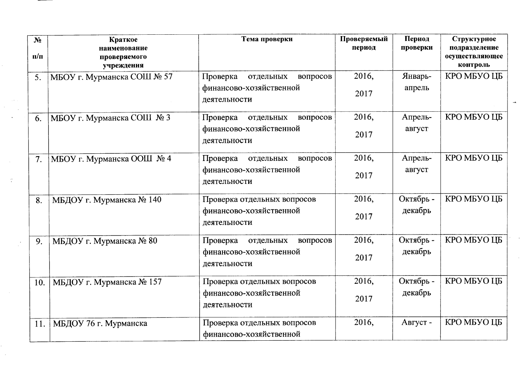| N <sub>2</sub> | Краткое                      | Тема проверки                                          | Проверяемый | Период    | Структурное                     |
|----------------|------------------------------|--------------------------------------------------------|-------------|-----------|---------------------------------|
| $\Pi/\Pi$      | наименование<br>проверяемого |                                                        | период      | проверки  | подразделение<br>осуществляющее |
|                | учреждения                   |                                                        |             |           | контроль                        |
| 5.             | МБОУ г. Мурманска СОШ № 57   | Проверка<br>отдельных<br>вопросов                      | 2016,       | Январь-   | КРО МБУО ЦБ                     |
|                |                              | финансово-хозяйственной<br>деятельности                | 2017        | апрель    |                                 |
| 6.             | МБОУ г. Мурманска СОШ № 3    | Проверка<br>отдельных<br>вопросов                      | 2016,       | Апрель-   | КРО МБУО ЦБ                     |
|                |                              | финансово-хозяйственной<br>деятельности                | 2017        | август    |                                 |
| 7.             | МБОУ г. Мурманска ООШ № 4    | Проверка<br>отдельных<br>вопросов                      | 2016,       | Апрель-   | КРО МБУО ЦБ                     |
|                |                              | финансово-хозяйственной<br>деятельности                | 2017        | август    |                                 |
| 8.             | МБДОУ г. Мурманска № 140     | Проверка отдельных вопросов                            | 2016,       | Октябрь - | КРО МБУО ЦБ                     |
|                |                              | финансово-хозяйственной<br>деятельности                | 2017        | декабрь   |                                 |
| 9.             | МБДОУ г. Мурманска № 80      | Проверка<br>отдельных<br>вопросов                      | 2016,       | Октябрь - | КРО МБУО ЦБ                     |
|                |                              | финансово-хозяйственной<br>деятельности                | 2017        | декабрь   |                                 |
| 10.            | МБДОУ г. Мурманска № 157     | Проверка отдельных вопросов                            | 2016,       | Октябрь - | КРО МБУО ЦБ                     |
|                |                              | финансово-хозяйственной<br>деятельности                | 2017        | декабрь   |                                 |
| 11.            | МБДОУ 76 г. Мурманска        | Проверка отдельных вопросов<br>финансово-хозяйственной | 2016,       | Август-   | КРО МБУО ЦБ                     |

 $\bar{\mathbf{u}}$ 

 $\ddot{\phantom{1}}$ 

 $\sim 10^{-11}$ 

 $\mathbb{C}$